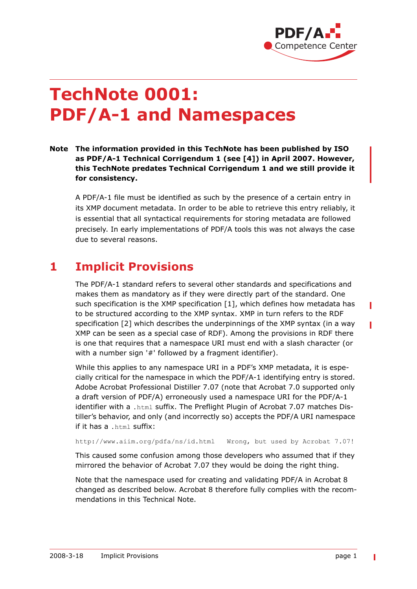

# **TechNote 0001: PDF/A-1 and Namespaces**

**Note The information provided in this TechNote has been published by ISO as PDF/A-1 Technical Corrigendum 1 (see [\[4\]\)](#page-2-0) in April 2007. However, this TechNote predates Technical Corrigendum 1 and we still provide it for consistency.**

A PDF/A-1 file must be identified as such by the presence of a certain entry in its XMP document metadata. In order to be able to retrieve this entry reliably, it is essential that all syntactical requirements for storing metadata are followed precisely. In early implementations of PDF/A tools this was not always the case due to several reasons.

#### **1 Implicit Provisions**

The PDF/A-1 standard refers to several other standards and specifications and makes them as mandatory as if they were directly part of the standard. One such specification is the XMP specification [\[1\],](#page-2-1) which defines how metadata has to be structured according to the XMP syntax. XMP in turn refers to the RDF specification [\[2\]](#page-2-2) which describes the underpinnings of the XMP syntax (in a way XMP can be seen as a special case of RDF). Among the provisions in RDF there is one that requires that a namespace URI must end with a slash character (or with a number sign '#' followed by a fragment identifier).

While this applies to any namespace URI in a PDF's XMP metadata, it is especially critical for the namespace in which the PDF/A-1 identifying entry is stored. Adobe Acrobat Professional Distiller 7.07 (note that Acrobat 7.0 supported only a draft version of PDF/A) erroneously used a namespace URI for the PDF/A-1 identifier with a . html suffix. The Preflight Plugin of Acrobat 7.07 matches Distiller's behavior, and only (and incorrectly so) accepts the PDF/A URI namespace if it has a .html suffix:

http://www.aiim.org/pdfa/ns/id.html Wrong, but used by Acrobat 7.07!

This caused some confusion among those developers who assumed that if they mirrored the behavior of Acrobat 7.07 they would be doing the right thing.

Note that the namespace used for creating and validating PDF/A in Acrobat 8 changed as described below. Acrobat 8 therefore fully complies with the recommendations in this Technical Note.

I

П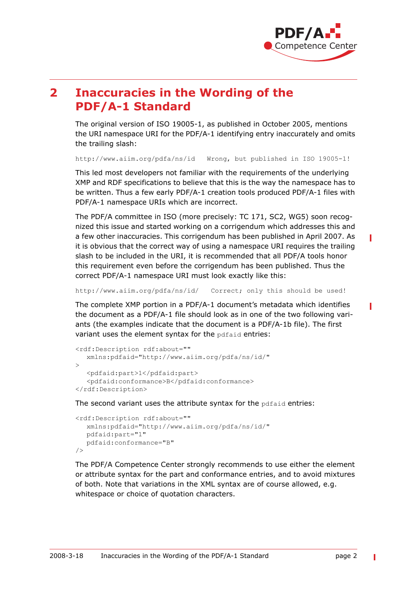

## **2 Inaccuracies in the Wording of the PDF/A-1 Standard**

The original version of ISO 19005-1, as published in October 2005, mentions the URI namespace URI for the PDF/A-1 identifying entry inaccurately and omits the trailing slash:

http://www.aiim.org/pdfa/ns/id Wrong, but published in ISO 19005-1!

This led most developers not familiar with the requirements of the underlying XMP and RDF specifications to believe that this is the way the namespace has to be written. Thus a few early PDF/A-1 creation tools produced PDF/A-1 files with PDF/A-1 namespace URIs which are incorrect.

The PDF/A committee in ISO (more precisely: TC 171, SC2, WG5) soon recognized this issue and started working on a corrigendum which addresses this and a few other inaccuracies. This corrigendum has been published in April 2007. As it is obvious that the correct way of using a namespace URI requires the trailing slash to be included in the URI, it is recommended that all PDF/A tools honor this requirement even before the corrigendum has been published. Thus the correct PDF/A-1 namespace URI must look exactly like this:

http://www.aiim.org/pdfa/ns/id/ Correct; only this should be used!

The complete XMP portion in a PDF/A-1 document's metadata which identifies the document as a PDF/A-1 file should look as in one of the two following variants (the examples indicate that the document is a PDF/A-1b file). The first variant uses the element syntax for the pdfaid entries:

```
<rdf:Description rdf:about=""
  xmlns:pdfaid="http://www.aiim.org/pdfa/ns/id/"
\rightarrow<pdfaid:part>1</pdfaid:part>
   <pdfaid:conformance>B</pdfaid:conformance>
</rdf:Description>
```
The second variant uses the attribute syntax for the pdfaid entries:

```
<rdf:Description rdf:about=""
  xmlns:pdfaid="http://www.aiim.org/pdfa/ns/id/"
  pdfaid:part="1"
  pdfaid:conformance="B"
/>
```
The PDF/A Competence Center strongly recommends to use either the element or attribute syntax for the part and conformance entries, and to avoid mixtures of both. Note that variations in the XML syntax are of course allowed, e.g. whitespace or choice of quotation characters.

П

Π